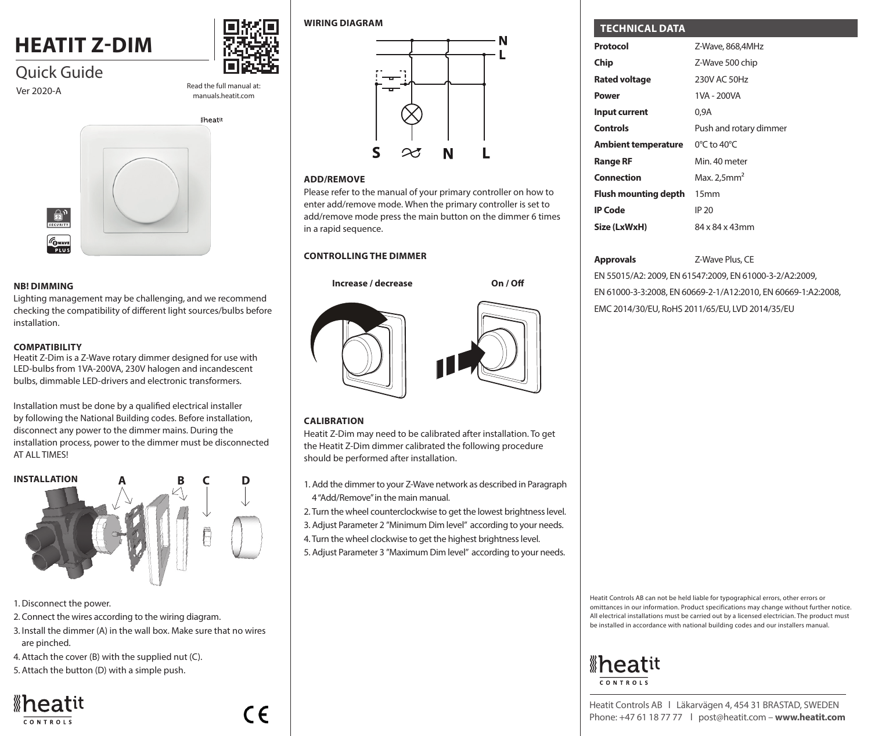# **HEATIT Z-DIM**



manuals.heatit.com

Increase / Decrease

## Quick Guide Ver 2020-A Read the full manual at:



### **NB! DIMMING**

**Lighting management may be challenging, and we recommend lighting** checking the compatibility of different light sources/bulbs before installation.

### **COMPATIBILITY**

**COMPATIBILITY**<br>Heatit Z-Dim is a Z-Wave rotary dimmer designed for use with LED-bulbs from 1VA-200VA, 230V halogen and incandescent bulbs, dimmable LED-drivers and electronic transformers. eatit Z-Dim is a Z-Wave rotary dimmer de

Installation must be done by a qualified electrical installer by following the National Building codes. Before installation, **0** disconnect any power to the dimmer mains. During the installation process, power to the dimmer must be disconnected AT ALL TIMES! Lyskilde/transformator med 12V pære



- 1. Disconnect the power.
- 2. Connect the wires according to the wiring diagram.
- 3. Install the dimmer (A) in the wall box. Make sure that no wires are pinched.
- 4. Attach the cover (B) with the supplied nut (C).
- 5. Attach the button (D) with a simple push.





#### **WIRING DIAGRAM**



### **ADD/REMOVE**

Please refer to the manual of your primary controller on how to enter add/remove mode. When the primary controller is set to add/remove mode press the main button on the dimmer 6 times in a rapid sequence.

**On / Off**

### **CONTROLLING THE DIMMER**



### **CALIBRATION**

Heatit Z-Dim may need to be calibrated after installation. To get the Heatit Z-Dim dimmer calibrated the following procedure should be performed after installation.

- 1. Add the dimmer to your Z-Wave network as described in Paragraph 4 "Add/Remove" in the main manual.
- 2. Turn the wheel counterclockwise to get the lowest brightness level.
- 3. Adjust Parameter 2 "Minimum Dim level" according to your needs.
- 4. Turn the wheel clockwise to get the highest brightness level.
- 5. Adjust Parameter 3 "Maximum Dim level" according to your needs.

### **TECHNICAL DATA**

| Protocol                   | Z-Wave, 868,4MHz                 |
|----------------------------|----------------------------------|
| Chip                       | Z-Wave 500 chip                  |
| <b>Rated voltage</b>       | 230V AC 50Hz                     |
| Power                      | 1VA - 200VA                      |
| Input current              | 0.9A                             |
| <b>Controls</b>            | Push and rotary dimmer           |
| <b>Ambient temperature</b> | $0^{\circ}$ C to 40 $^{\circ}$ C |
| <b>Range RF</b>            | Min. 40 meter                    |
| Connection                 | Max. $2.5$ mm <sup>2</sup>       |
| Flush mounting depth       | 15 <sub>mm</sub>                 |
| <b>IP Code</b>             | IP 20                            |
| Size (LxWxH)               | 84 x 84 x 43mm                   |

### **Approvals** Z-Wave Plus, CE

EN 55015/A2: 2009, EN 61547:2009, EN 61000-3-2/A2:2009, EN 61000-3-3:2008, EN 60669-2-1/A12:2010, EN 60669-1:A2:2008, EMC 2014/30/EU, RoHS 2011/65/EU, LVD 2014/35/EU

Heatit Controls AB can not be held liable for typographical errors, other errors or omittances in our information. Product specifications may change without further notice. All electrical installations must be carried out by a licensed electrician. The product must be installed in accordance with national building codes and our installers manual.

# *I*heatit CONTROLS

Heatit Controls AB l Läkarvägen 4, 454 31 BRASTAD, SWEDEN Phone: +47 61 18 77 77 l post@heatit.com – **www.heatit.com**